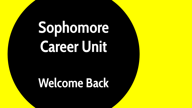## **Sophomore Career Unit**

### **Welcome Back**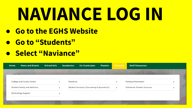# **NAVIANCE LOG IN**

- **● Go to the EGHS Website**
- **● Go to "Students"**
- **● Select "Naviance"**

| <b>News and Events</b><br>Home     | <b>School Info</b> | <b>Academics</b> | <b>Co-Curriculars</b>                       | <b>Parents</b> | <b>Students</b> | <b>Staff Resources</b>            |  |
|------------------------------------|--------------------|------------------|---------------------------------------------|----------------|-----------------|-----------------------------------|--|
|                                    |                    |                  |                                             |                |                 |                                   |  |
| College and Career Center          |                    | Naviance         |                                             |                |                 | Parking Information               |  |
| <b>Student Safety and Wellness</b> |                    |                  | Student Services (Counseling & Specialists) |                | $\rightarrow$   | <b>Scholastic Student Success</b> |  |
| <b>Technology Support</b>          |                    |                  |                                             |                |                 |                                   |  |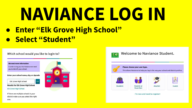# NAVIANCE LOGIN

EC

**• Enter "Elk Grove High School"** • Select "Student"

Which school would you like to login to?

**GO** 

We need more information In order to log you into Naviance we need you to identify your school.

Enter your school name, city, or zipcode

Elk Grove High School

**Results for Elk Grove High School** 

Elk Grove High School



If there are multiple schools in your district make sure you select the right one.



I'm new and need to register!

Welcome to Naviance Student.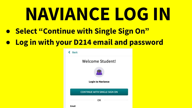# **NAVIANCE LOG IN**

- **● Select "Continue with Single Sign On"**
- **● Log in with your D214 email and password**

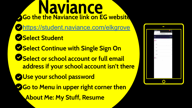**Naviance Go the the Naviance link on EG website** <https://student.naviance.com/elkgrove> **Select Student Select Continue with Single Sign On Select or school account or full email address if your school account isn't there Use your school password Bo to Menu in upper right corner then About Me: My Stuff, Resume**

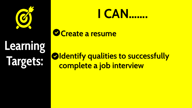

## Learning Targets:

### <u>I CAN......</u>

Create a resume

Oldentify qualities to successfully complete a job interview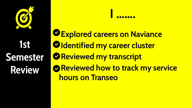## 1st Semester **Review**

**Sexplored careers on Naviance Oldentified my career cluster OReviewed my transcript** Reviewed how to track my service **hours on Transeo**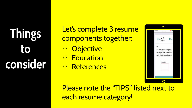**Things to consider** Let's complete 3 resume components together: **Objective** ⊙ Education ⊙ References



Please note the "TIPS" listed next to each resume category!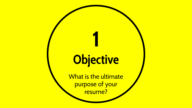## **Objective**

**1**

What is the ultimate purpose of your resume?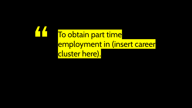**"** To obtain part time employment in (insert career cluster here).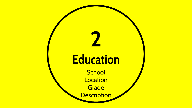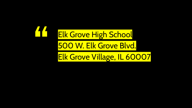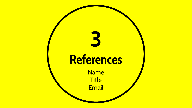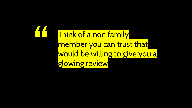Think of a non family member you can trust that would be willing to give you a glowing review

**"**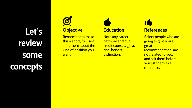**Let's review some concepts**

### $\bigcirc$ **Objective**

Remember to make this a short, focused statement about the kind of position you want!



Note any career pathway and dual credit courses, g.p.a., and honors distinction.



Select people who are going to give you a great recommendation, are not related to you, and ask them before you list them as a reference.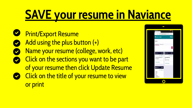## **SAVE your resume in Naviance**

**Print/Export Resume** Add using the plus button (+) Name your resume (college, work, etc) **Click on the sections you want to be part** of your resume then click Update Resume Click on the title of your resume to view or print

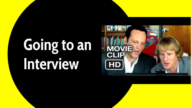## **Going to an Interview**

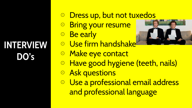### **INTERVIEW DO's**

### ⊙ Dress up, but not tuxedos

- ⊙ Bring your resume
- ⊙ Be early



- ⊙ Use firm handshake
- ⊙ Make eye contact
- ⊙ Have good hygiene (teeth, nails)
- ⊙ Ask questions
- ⊙ Use a professional email address and professional language